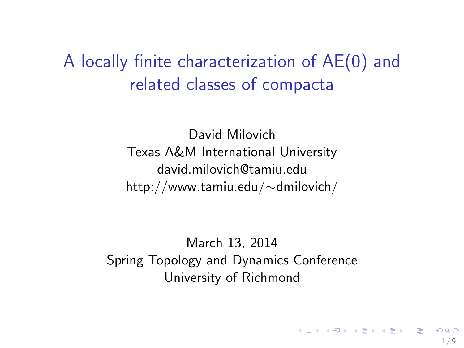## A locally finite characterization of AE(0) and related classes of compacta

David Milovich Texas A&M International University david.milovich@tamiu.edu http://www.tamiu.edu/∼dmilovich/

March 13, 2014 Spring Topology and Dynamics Conference University of Richmond

1 / 9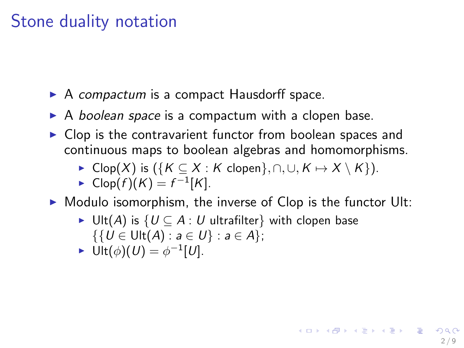## Stone duality notation

- $\triangleright$  A compactum is a compact Hausdorff space.
- $\triangleright$  A boolean space is a compactum with a clopen base.
- $\triangleright$  Clop is the contravarient functor from boolean spaces and continuous maps to boolean algebras and homomorphisms.
	- $\triangleright$  Clop(X) is ({K ⊆ X : K clopen}, ∩, ∪, K  $\mapsto$  X \ K}).

• 
$$
Clop(f)(K) = f^{-1}[K]
$$
.

 $\triangleright$  Modulo isomorphism, the inverse of Clop is the functor Ult:

2 / 9

K ロ ▶ K @ ▶ K 할 ▶ K 할 ▶ ( 할 )

- ► Ult(A) is  $\{U \subseteq A : U$  ultrafilter} with clopen base  $\{ \{ U \in \text{Ult}(A) : a \in U \} : a \in A \};$
- $\blacktriangleright$  Ult $(\phi)(U) = \phi^{-1}[U].$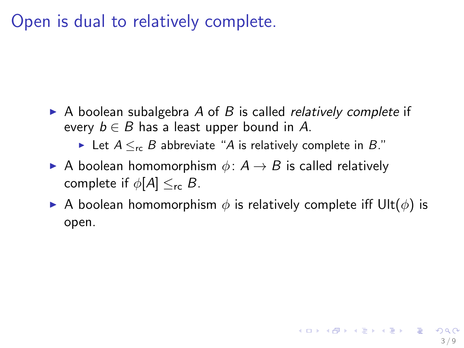## Open is dual to relatively complete.

- $\triangleright$  A boolean subalgebra A of B is called *relatively complete* if every  $b \in B$  has a least upper bound in A.
	- ► Let  $A \leq_{\sf rc} B$  abbreviate "A is relatively complete in B."
- A boolean homomorphism  $\phi: A \rightarrow B$  is called relatively complete if  $\phi[A] \leq_{\sf rc} B$ .
- A boolean homomorphism  $\phi$  is relatively complete iff Ult( $\phi$ ) is open.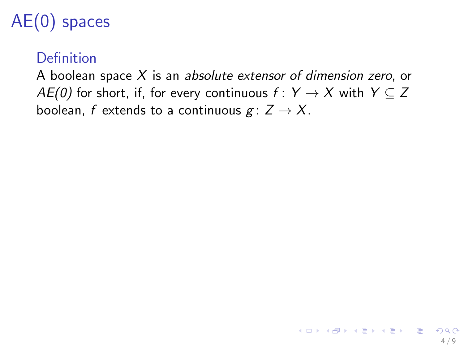# AE(0) spaces

#### Definition

A boolean space  $X$  is an absolute extensor of dimension zero, or AE(0) for short, if, for every continuous  $f: Y \rightarrow X$  with  $Y \subseteq Z$ boolean, f extends to a continuous  $g: Z \to X$ .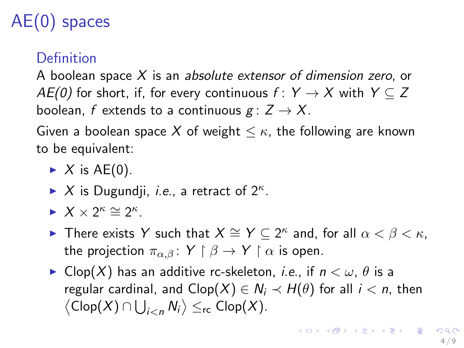# AE(0) spaces

#### Definition

A boolean space  $X$  is an absolute extensor of dimension zero, or AE(0) for short, if, for every continuous  $f: Y \rightarrow X$  with  $Y \subseteq Z$ boolean, f extends to a continuous  $g: Z \to X$ .

Given a boolean space X of weight  $\leq \kappa$ , the following are known to be equivalent:

- $\blacktriangleright$  X is AE(0).
- $\blacktriangleright$  X is Dugundji, *i.e.*, a retract of  $2^{\kappa}$ .
- $\blacktriangleright$   $X \times 2^{\kappa} \cong 2^{\kappa}$ .
- ► There exists Y such that  $X \cong Y \subseteq 2^{\kappa}$  and, for all  $\alpha < \beta < \kappa$ , the projection  $\pi_{\alpha,\beta}$ :  $Y \upharpoonright \beta \rightarrow Y \upharpoonright \alpha$  is open.
- ► Clop(X) has an additive rc-skeleton, *i.e.*, if  $n < \omega$ ,  $\theta$  is a regular cardinal, and  $Clop(X) \in N_i \prec H(\theta)$  for all  $i < n$ , then  $\langle \mathsf{Clop}(X) \cap \bigcup_{i < n} \mathsf{N}_i \rangle \leq_{\mathsf{rc}} \mathsf{Clop}(X).$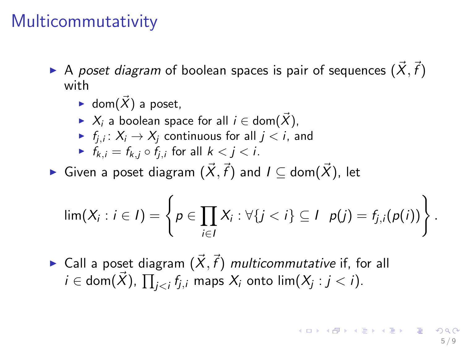## Multicommutativity

- $\blacktriangleright$  A poset diagram of boolean spaces is pair of sequences  $(\vec{X},\vec{f})$ with
	- $\blacktriangleright$  dom $(\vec{X})$  a poset,
	- $\triangleright$  X<sub>i</sub> a boolean space for all  $i \in$  dom(X),
	- $\blacktriangleright$   $f_{j,i} \colon X_i \to X_j$  continuous for all  $j < i,$  and
	- $f_{k,j} = f_{k,j} \circ f_{i,j}$  for all  $k < j < i$ .
- $\blacktriangleright$  Given a poset diagram  $(\vec{X},\vec{f})$  and  $I\subseteq$  dom $(\vec{X})$ , let

$$
\lim(X_i : i \in I) = \left\{ p \in \prod_{i \in I} X_i : \forall \{j < i\} \subseteq I \mid p(j) = f_{j,i}(p(i)) \right\}.
$$

 $\blacktriangleright$  Call a poset diagram  $(\vec{X}, \vec{f})$  multicommutative if, for all  $i\in$  dom $(\vec{X})$ ,  $\prod_{j < i}f_{j,i}$  maps  $X_i$  onto lim $(X_j : j < i).$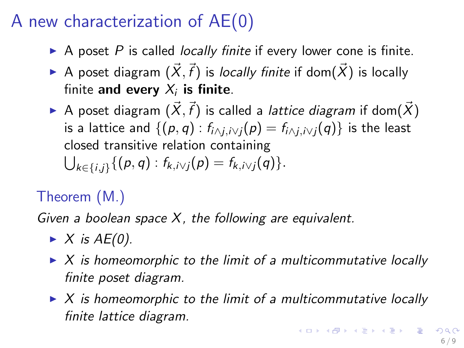# A new characterization of AE(0)

- $\triangleright$  A poset P is called locally finite if every lower cone is finite.
- $\blacktriangleright$  A poset diagram  $(\vec{X},\vec{f})$  is *locally finite* if dom $(\vec{X})$  is locally finite and every  $X_i$  is finite.
- $\blacktriangleright$  A poset diagram  $(\vec{X},\vec{f})$  is called a *lattice diagram* if dom $(\vec{X})$ is a lattice and  $\{(p,q): f_{i \wedge i,i \vee i}(p) = f_{i \wedge i,i \vee i}(q)\}\)$  is the least closed transitive relation containing  $\bigcup_{k \in \{i,j\}} \{(p,q) : f_{k,i \vee j}(p) = f_{k,i \vee j}(q)\}.$

## Theorem (M.)

Given a boolean space  $X$ , the following are equivalent.

- $\blacktriangleright$  X is AE(0).
- $\triangleright$  X is homeomorphic to the limit of a multicommutative locally finite poset diagram.
- $\triangleright$  X is homeomorphic to the limit of a multicommutative locally finite lattice diagram.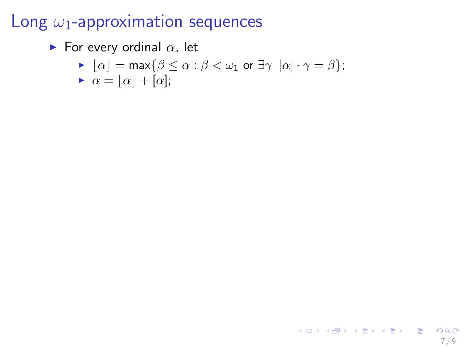## Long  $\omega_1$ -approximation sequences

For every ordinal  $\alpha$ , let

$$
\text{ \textbf{--} } \lfloor \alpha \rfloor = \max \{\beta \leq \alpha : \beta < \omega_1 \text{ or } \exists \gamma \ \vert \alpha \vert \cdot \gamma = \beta \};
$$

 $\bullet \ \alpha = [\alpha] + [\alpha];$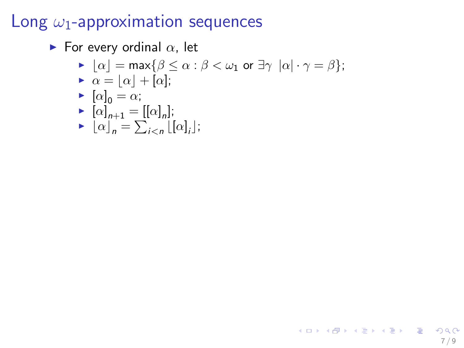## Long  $\omega_1$ -approximation sequences

- For every ordinal  $\alpha$ , let
	- $\blacktriangleright |\alpha| = \max{\beta \leq \alpha : \beta < \omega_1 \text{ or } \exists \gamma |\alpha| \cdot \gamma = \beta};$
	- $\triangleright \alpha = \lfloor \alpha \rfloor + \lbrack \alpha \rbrack;$

$$
\blacktriangleright \left[ \alpha \right]_0 = \alpha;
$$

$$
\blacktriangleright \ [\alpha]_{n+1} = [[\alpha]_n];
$$

$$
\blacktriangleright \left[ \alpha \right]_n = \sum_{i < n} \left[ \left[ \alpha \right]_i \right];
$$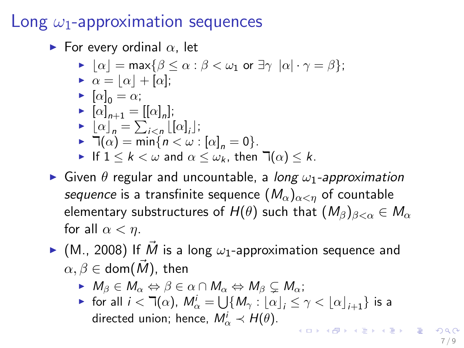#### Long  $\omega_1$ -approximation sequences

For every ordinal  $\alpha$ , let

- $\blacktriangleright |\alpha| = \max{\beta \leq \alpha : \beta < \omega_1 \text{ or } \exists \gamma |\alpha| \cdot \gamma = \beta};$
- $\triangleright \alpha = |\alpha| + |\alpha|;$
- $\blacktriangleright \ [\alpha]_0 = \alpha;$
- $\blacktriangleright \ [\alpha]_{n+1} = [[\alpha]_n];$
- $\blacktriangleright \left[ \alpha \right]_n = \sum_{i \leq n} \left[ \left[ \alpha \right]_i \right];$
- $\blacksquare \top(\alpha) = \min\{n < \omega : [\alpha]_n = 0\}.$
- If  $1 \leq k < \omega$  and  $\alpha \leq \omega_k$ , then  $\Box(\alpha) \leq k$ .
- **In Given**  $\theta$  regular and uncountable, a long  $\omega_1$ -approximation sequence is a transfinite sequence  $(M_\alpha)_{\alpha \leq n}$  of countable elementary substructures of  $H(\theta)$  such that  $(M_\beta)_{\beta<\alpha}\in M_\alpha$ for all  $\alpha < \eta$ .
- $\blacktriangleright$  (M., 2008) If M is a long  $\omega_1$ -approximation sequence and  $\alpha, \beta \in$  dom $(\overline{M})$ , then
	- $M_{\beta} \in M_{\alpha} \Leftrightarrow \beta \in \alpha \cap M_{\alpha} \Leftrightarrow M_{\beta} \subset M_{\alpha};$
	- $\blacktriangleright$  for all  $i < \daleth(\alpha)$ ,  $M^i_\alpha = \bigcup \{M_\gamma : [\alpha]_i \leq \gamma < [\alpha]_{i+1}\}$  is a directed union; hence,  $M^i_\alpha \prec H(\theta)$ . K ロ ▶ K @ ▶ K 글 ▶ K 글 ▶ │ 글 │ ◆ Q Q <mark>Q</mark>

7 / 9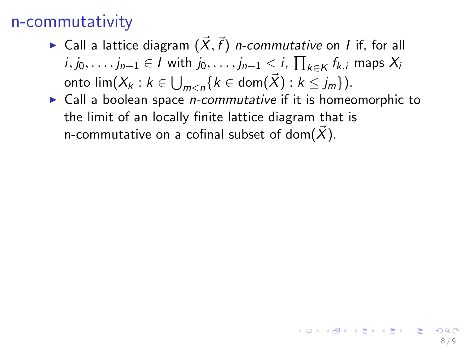- $\blacktriangleright$  Call a lattice diagram  $(\vec{X}, \vec{f})$  *n-commutative* on *I* if, for all  $i, j_0, \ldots, j_{n-1} \in I$  with  $j_0, \ldots, j_{n-1} < i$ ,  $\prod_{k \in K} f_{k,i}$  maps  $X_i$ onto  $\operatorname{\sf lim}(X_k : k \in \bigcup_{m < n} \{k \in \operatorname{\mathsf{dom}}(\vec{X}) : k \leq j_m\}).$
- $\triangleright$  Call a boolean space *n-commutative* if it is homeomorphic to the limit of an locally finite lattice diagram that is n-commutative on a cofinal subset of dom $(\vec{X})$ .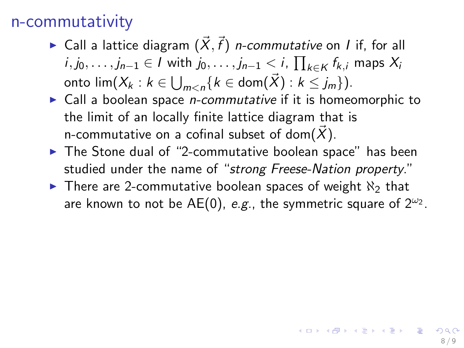- $\blacktriangleright$  Call a lattice diagram  $(\vec{X}, \vec{f})$  *n-commutative* on *I* if, for all  $i, j_0, \ldots, j_{n-1} \in I$  with  $j_0, \ldots, j_{n-1} < i$ ,  $\prod_{k \in K} f_{k,i}$  maps  $X_i$ onto  $\operatorname{\sf lim}(X_k : k \in \bigcup_{m < n} \{k \in \operatorname{\mathsf{dom}}(\vec{X}) : k \leq j_m\}).$
- $\triangleright$  Call a boolean space *n-commutative* if it is homeomorphic to the limit of an locally finite lattice diagram that is n-commutative on a cofinal subset of dom $(\vec{X})$ .
- $\blacktriangleright$  The Stone dual of "2-commutative boolean space" has been studied under the name of "strong Freese-Nation property."
- $\triangleright$  There are 2-commutative boolean spaces of weight  $\aleph_2$  that are known to not be AE(0), e.g., the symmetric square of  $2^{\omega_2}$ .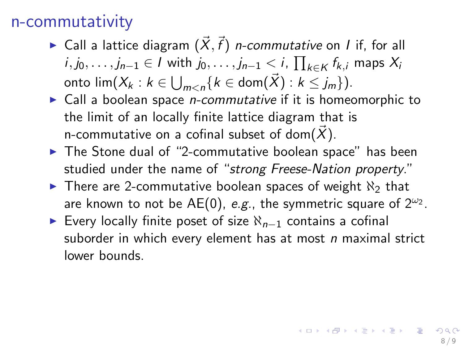- $\blacktriangleright$  Call a lattice diagram  $(\vec{X}, \vec{f})$  *n-commutative* on *I* if, for all  $i, j_0, \ldots, j_{n-1} \in I$  with  $j_0, \ldots, j_{n-1} < i$ ,  $\prod_{k \in K} f_{k,i}$  maps  $X_i$ onto  $\operatorname{\sf lim}(X_k : k \in \bigcup_{m < n} \{k \in \operatorname{\mathsf{dom}}(\vec{X}) : k \leq j_m\}).$
- $\triangleright$  Call a boolean space *n-commutative* if it is homeomorphic to the limit of an locally finite lattice diagram that is n-commutative on a cofinal subset of dom $(\vec{X})$ .
- $\blacktriangleright$  The Stone dual of "2-commutative boolean space" has been studied under the name of "strong Freese-Nation property."
- $\triangleright$  There are 2-commutative boolean spaces of weight  $\aleph_2$  that are known to not be AE(0), e.g., the symmetric square of  $2^{\omega_2}$ .
- ► Every locally finite poset of size  $\aleph_{n-1}$  contains a cofinal suborder in which every element has at most  $n$  maximal strict lower bounds.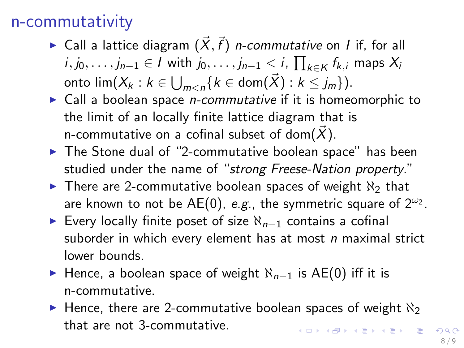- $\blacktriangleright$  Call a lattice diagram  $(\vec{X}, \vec{f})$  *n-commutative* on *I* if, for all  $i, j_0, \ldots, j_{n-1} \in I$  with  $j_0, \ldots, j_{n-1} < i$ ,  $\prod_{k \in K} f_{k,i}$  maps  $X_i$ onto  $\operatorname{\sf lim}(X_k : k \in \bigcup_{m < n} \{k \in \operatorname{\mathsf{dom}}(\vec{X}) : k \leq j_m\}).$
- $\triangleright$  Call a boolean space *n-commutative* if it is homeomorphic to the limit of an locally finite lattice diagram that is n-commutative on a cofinal subset of dom $(\vec{X})$ .
- $\blacktriangleright$  The Stone dual of "2-commutative boolean space" has been studied under the name of "strong Freese-Nation property."
- $\triangleright$  There are 2-commutative boolean spaces of weight  $\aleph_2$  that are known to not be AE(0), e.g., the symmetric square of  $2^{\omega_2}$ .
- ► Every locally finite poset of size  $\aleph_{n-1}$  contains a cofinal suborder in which every element has at most  $n$  maximal strict lower bounds.
- ► Hence, a boolean space of weight  $\aleph_{n-1}$  is AE(0) iff it is n-commutative.
- $\blacktriangleright$  Hence, there are 2-commutative boolean spaces of weight  $\aleph_2$ that are not 3-commutative.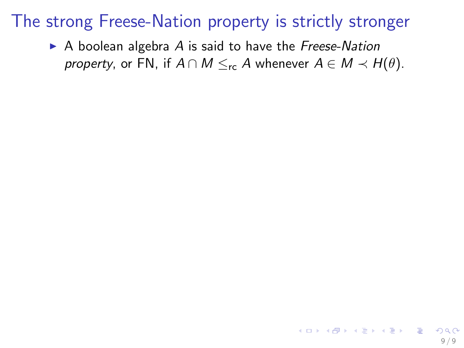$\triangleright$  A boolean algebra A is said to have the Freese-Nation property, or FN, if  $A \cap M \leq_{\sf rc} A$  whenever  $A \in M \prec H(\theta)$ .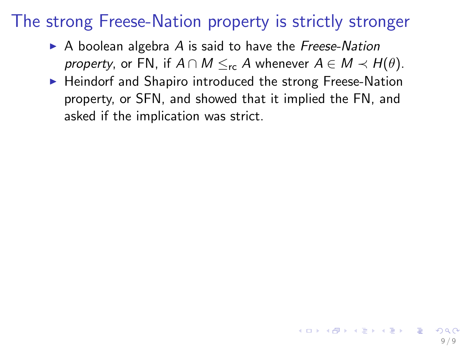- $\triangleright$  A boolean algebra A is said to have the Freese-Nation *property*, or FN, if  $A \cap M \leq_{\text{rc}} A$  whenever  $A \in M \prec H(\theta)$ .
- $\blacktriangleright$  Heindorf and Shapiro introduced the strong Freese-Nation property, or SFN, and showed that it implied the FN, and asked if the implication was strict.

9 / 9

イロト 不優 ト 不思 ト 不思 トー 理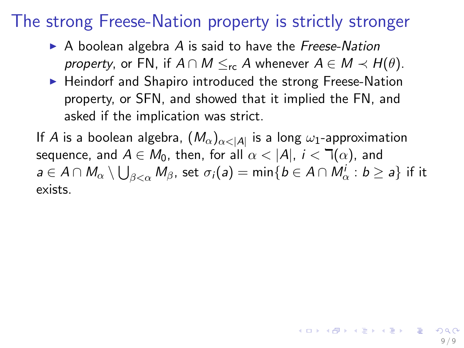- $\triangleright$  A boolean algebra A is said to have the Freese-Nation *property*, or FN, if  $A \cap M \leq_{\text{rc}} A$  whenever  $A \in M \prec H(\theta)$ .
- $\blacktriangleright$  Heindorf and Shapiro introduced the strong Freese-Nation property, or SFN, and showed that it implied the FN, and asked if the implication was strict.

If  $A$  is a boolean algebra,  $(M_\alpha)_{\alpha<|A|}$  is a long  $\omega_1$ -approximation sequence, and  $A \in M_0$ , then, for all  $\alpha < |A|$ ,  $i < \mathcal{T}(\alpha)$ , and  $a\in A\cap M_\alpha\setminus\bigcup_{\beta<\alpha}M_\beta$ , set  $\sigma_i(a)=\min\{b\in A\cap M_\alpha^i: b\geq a\}$  if it exists.

9 / 9

イロト 不優 ト 不思 ト 不思 トー 理